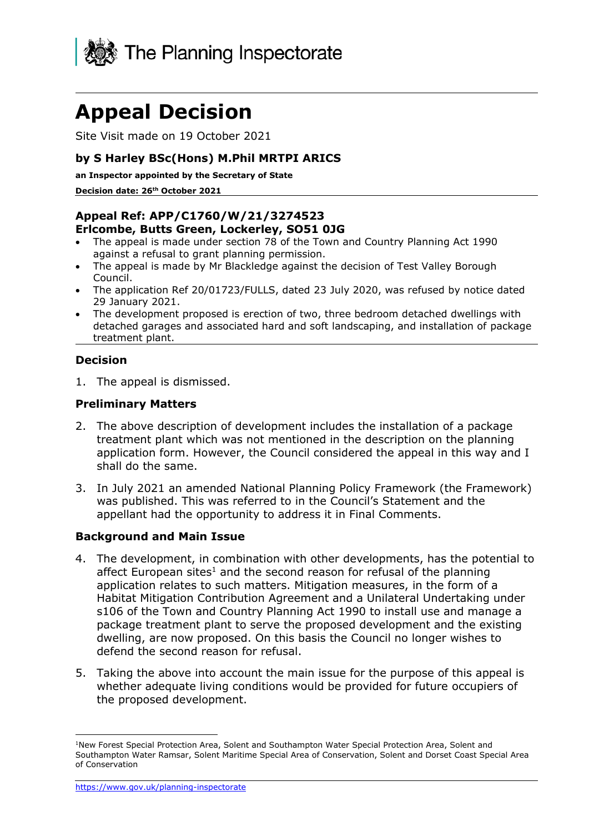

# **Appeal Decision**

Site Visit made on 19 October 2021

#### **by S Harley BSc(Hons) M.Phil MRTPI ARICS**

**an Inspector appointed by the Secretary of State** 

**Decision date: 26th October 2021**

## **Appeal Ref: APP/C1760/W/21/3274523**

#### **Erlcombe, Butts Green, Lockerley, SO51 0JG**

- The appeal is made under section 78 of the Town and Country Planning Act 1990 against a refusal to grant planning permission.
- The appeal is made by Mr Blackledge against the decision of Test Valley Borough Council.
- The application Ref 20/01723/FULLS, dated 23 July 2020, was refused by notice dated 29 January 2021.
- The development proposed is erection of two, three bedroom detached dwellings with detached garages and associated hard and soft landscaping, and installation of package treatment plant.

### **Decision**

1. The appeal is dismissed.

#### **Preliminary Matters**

- 2. The above description of development includes the installation of a package treatment plant which was not mentioned in the description on the planning application form. However, the Council considered the appeal in this way and I shall do the same.
- 3. In July 2021 an amended National Planning Policy Framework (the Framework) was published. This was referred to in the Council's Statement and the appellant had the opportunity to address it in Final Comments.

#### **Background and Main Issue**

- 4. The development, in combination with other developments, has the potential to affect European sites<sup>1</sup> and the second reason for refusal of the planning application relates to such matters. Mitigation measures, in the form of a Habitat Mitigation Contribution Agreement and a Unilateral Undertaking under s106 of the Town and Country Planning Act 1990 to install use and manage a package treatment plant to serve the proposed development and the existing dwelling, are now proposed. On this basis the Council no longer wishes to defend the second reason for refusal.
- 5. Taking the above into account the main issue for the purpose of this appeal is whether adequate living conditions would be provided for future occupiers of the proposed development.

<sup>&</sup>lt;sup>1</sup>New Forest Special Protection Area, Solent and Southampton Water Special Protection Area, Solent and Southampton Water Ramsar, Solent Maritime Special Area of Conservation, Solent and Dorset Coast Special Area of Conservation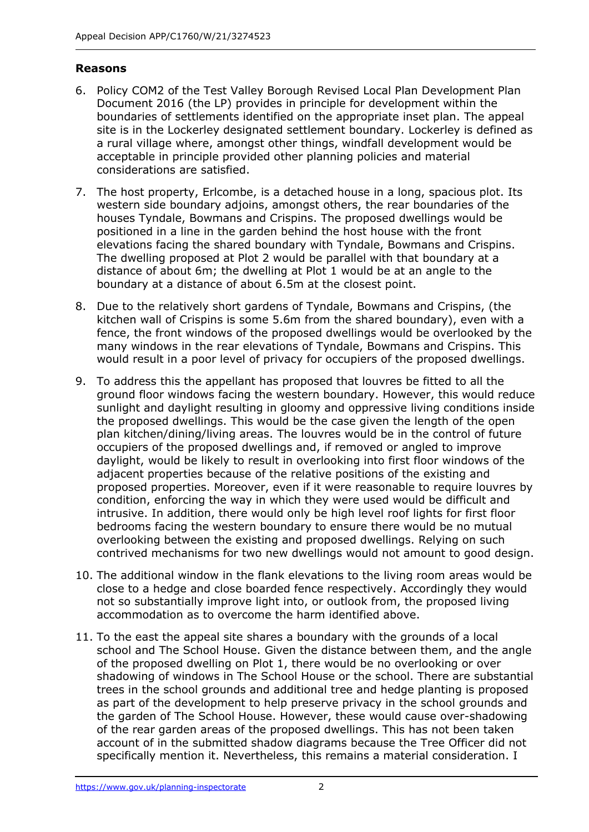#### **Reasons**

- 6. Policy COM2 of the Test Valley Borough Revised Local Plan Development Plan Document 2016 (the LP) provides in principle for development within the boundaries of settlements identified on the appropriate inset plan. The appeal site is in the Lockerley designated settlement boundary. Lockerley is defined as a rural village where, amongst other things, windfall development would be acceptable in principle provided other planning policies and material considerations are satisfied.
- 7. The host property, Erlcombe, is a detached house in a long, spacious plot. Its western side boundary adjoins, amongst others, the rear boundaries of the houses Tyndale, Bowmans and Crispins. The proposed dwellings would be positioned in a line in the garden behind the host house with the front elevations facing the shared boundary with Tyndale, Bowmans and Crispins. The dwelling proposed at Plot 2 would be parallel with that boundary at a distance of about 6m; the dwelling at Plot 1 would be at an angle to the boundary at a distance of about 6.5m at the closest point.
- 8. Due to the relatively short gardens of Tyndale, Bowmans and Crispins, (the kitchen wall of Crispins is some 5.6m from the shared boundary), even with a fence, the front windows of the proposed dwellings would be overlooked by the many windows in the rear elevations of Tyndale, Bowmans and Crispins. This would result in a poor level of privacy for occupiers of the proposed dwellings.
- 9. To address this the appellant has proposed that louvres be fitted to all the ground floor windows facing the western boundary. However, this would reduce sunlight and daylight resulting in gloomy and oppressive living conditions inside the proposed dwellings. This would be the case given the length of the open plan kitchen/dining/living areas. The louvres would be in the control of future occupiers of the proposed dwellings and, if removed or angled to improve daylight, would be likely to result in overlooking into first floor windows of the adjacent properties because of the relative positions of the existing and proposed properties. Moreover, even if it were reasonable to require louvres by condition, enforcing the way in which they were used would be difficult and intrusive. In addition, there would only be high level roof lights for first floor bedrooms facing the western boundary to ensure there would be no mutual overlooking between the existing and proposed dwellings. Relying on such contrived mechanisms for two new dwellings would not amount to good design.
- 10. The additional window in the flank elevations to the living room areas would be close to a hedge and close boarded fence respectively. Accordingly they would not so substantially improve light into, or outlook from, the proposed living accommodation as to overcome the harm identified above.
- 11. To the east the appeal site shares a boundary with the grounds of a local school and The School House. Given the distance between them, and the angle of the proposed dwelling on Plot 1, there would be no overlooking or over shadowing of windows in The School House or the school. There are substantial trees in the school grounds and additional tree and hedge planting is proposed as part of the development to help preserve privacy in the school grounds and the garden of The School House. However, these would cause over-shadowing of the rear garden areas of the proposed dwellings. This has not been taken account of in the submitted shadow diagrams because the Tree Officer did not specifically mention it. Nevertheless, this remains a material consideration. I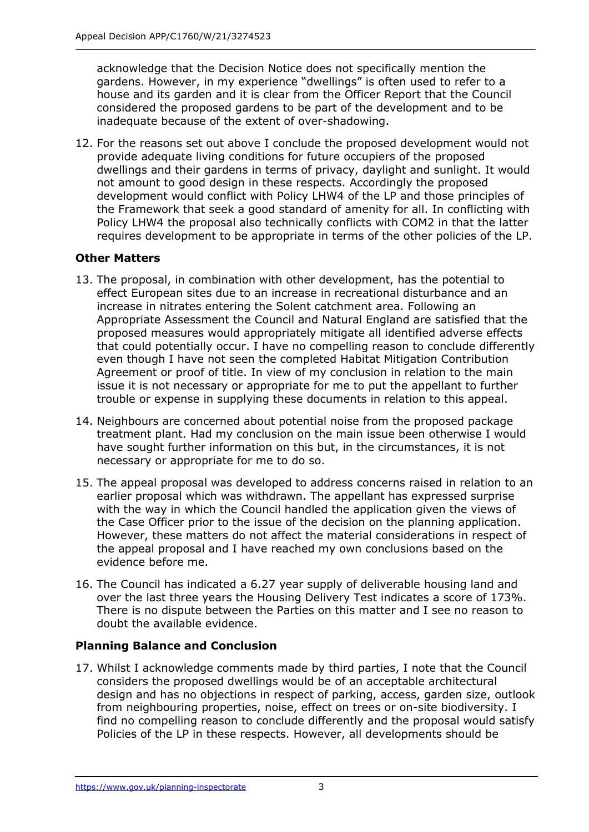acknowledge that the Decision Notice does not specifically mention the gardens. However, in my experience "dwellings" is often used to refer to a house and its garden and it is clear from the Officer Report that the Council considered the proposed gardens to be part of the development and to be inadequate because of the extent of over-shadowing.

12. For the reasons set out above I conclude the proposed development would not provide adequate living conditions for future occupiers of the proposed dwellings and their gardens in terms of privacy, daylight and sunlight. It would not amount to good design in these respects. Accordingly the proposed development would conflict with Policy LHW4 of the LP and those principles of the Framework that seek a good standard of amenity for all. In conflicting with Policy LHW4 the proposal also technically conflicts with COM2 in that the latter requires development to be appropriate in terms of the other policies of the LP.

#### **Other Matters**

- 13. The proposal, in combination with other development, has the potential to effect European sites due to an increase in recreational disturbance and an increase in nitrates entering the Solent catchment area. Following an Appropriate Assessment the Council and Natural England are satisfied that the proposed measures would appropriately mitigate all identified adverse effects that could potentially occur. I have no compelling reason to conclude differently even though I have not seen the completed Habitat Mitigation Contribution Agreement or proof of title. In view of my conclusion in relation to the main issue it is not necessary or appropriate for me to put the appellant to further trouble or expense in supplying these documents in relation to this appeal.
- 14. Neighbours are concerned about potential noise from the proposed package treatment plant. Had my conclusion on the main issue been otherwise I would have sought further information on this but, in the circumstances, it is not necessary or appropriate for me to do so.
- 15. The appeal proposal was developed to address concerns raised in relation to an earlier proposal which was withdrawn. The appellant has expressed surprise with the way in which the Council handled the application given the views of the Case Officer prior to the issue of the decision on the planning application. However, these matters do not affect the material considerations in respect of the appeal proposal and I have reached my own conclusions based on the evidence before me.
- 16. The Council has indicated a 6.27 year supply of deliverable housing land and over the last three years the Housing Delivery Test indicates a score of 173%. There is no dispute between the Parties on this matter and I see no reason to doubt the available evidence.

## **Planning Balance and Conclusion**

17. Whilst I acknowledge comments made by third parties, I note that the Council considers the proposed dwellings would be of an acceptable architectural design and has no objections in respect of parking, access, garden size, outlook from neighbouring properties, noise, effect on trees or on-site biodiversity. I find no compelling reason to conclude differently and the proposal would satisfy Policies of the LP in these respects. However, all developments should be